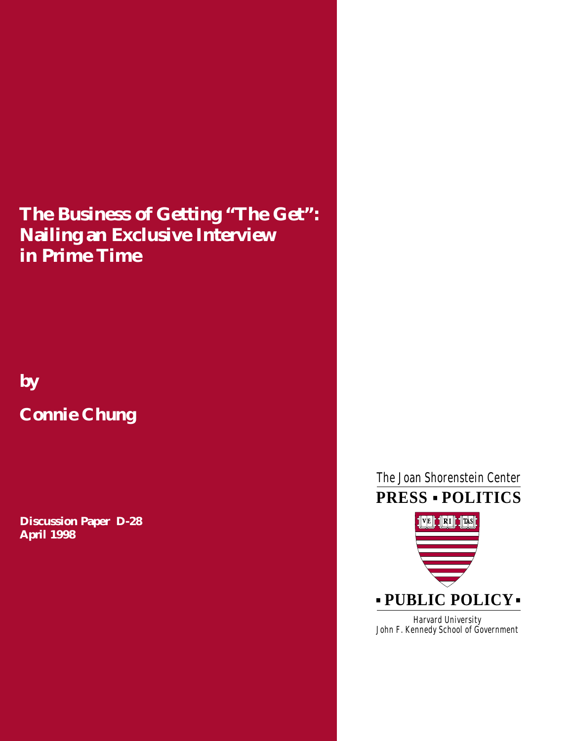# **The Business of Getting "The Get": Nailing an Exclusive Interview in Prime Time**

# **by**

# **Connie Chung**

**Discussion Paper D-28 April 1998**

# ■ **PRESS POLITICS** The Joan Shorenstein Center



Harvard University John F. Kennedy School of Government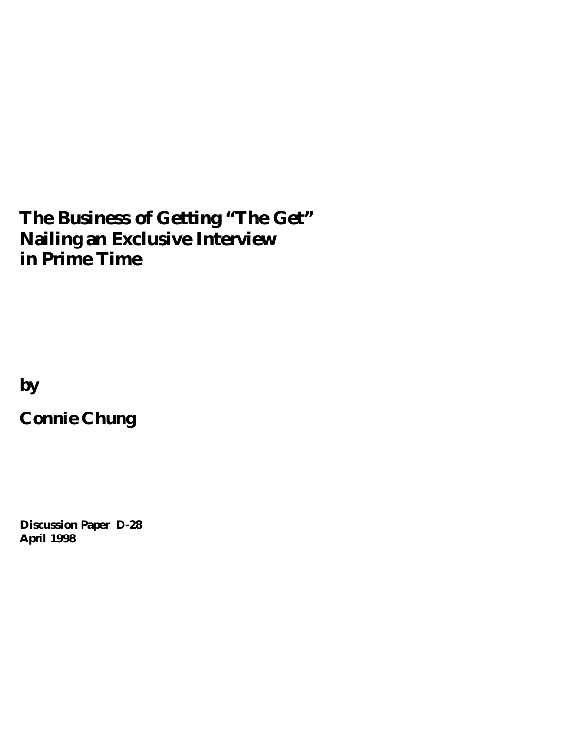# **The Business of Getting "The Get" Nailing an Exclusive Interview in Prime Time**

**by** 

**Connie Chung**

**Discussion Paper D-28 April 1998**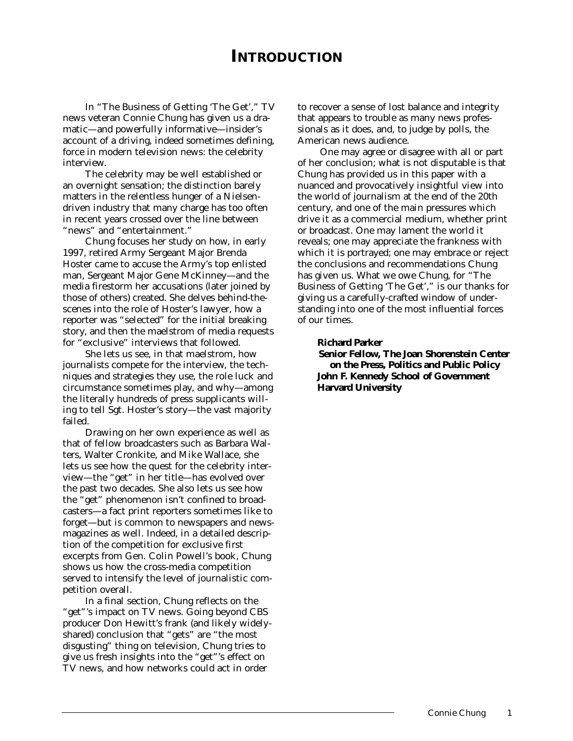# **INTRODUCTION**

In "The Business of Getting 'The Get'," TV news veteran Connie Chung has given us a dramatic—and powerfully informative—insider's account of a driving, indeed sometimes defining, force in modern television news: the celebrity interview.

The celebrity may be well established or an overnight sensation; the distinction barely matters in the relentless hunger of a Nielsendriven industry that many charge has too often in recent years crossed over the line between "news" and "entertainment."

Chung focuses her study on how, in early 1997, retired Army Sergeant Major Brenda Hoster came to accuse the Army's top enlisted man, Sergeant Major Gene McKinney—and the media firestorm her accusations (later joined by those of others) created. She delves behind-thescenes into the role of Hoster's lawyer, how a reporter was "selected" for the initial breaking story, and then the maelstrom of media requests for "exclusive" interviews that followed.

She lets us see, in that maelstrom, how journalists compete for the interview, the techniques and strategies they use, the role luck and circumstance sometimes play, and why—among the literally hundreds of press supplicants willing to tell Sgt. Hoster's story—the vast majority failed.

Drawing on her own experience as well as that of fellow broadcasters such as Barbara Walters, Walter Cronkite, and Mike Wallace, she lets us see how the quest for the celebrity interview—the "get" in her title—has evolved over the past two decades. She also lets us see how the "get" phenomenon isn't confined to broadcasters—a fact print reporters sometimes like to forget—but is common to newspapers and newsmagazines as well. Indeed, in a detailed description of the competition for exclusive first excerpts from Gen. Colin Powell's book, Chung shows us how the cross-media competition served to intensify the level of journalistic competition overall.

In a final section, Chung reflects on the "get"'s impact on TV news. Going beyond CBS producer Don Hewitt's frank (and likely widelyshared) conclusion that "gets" are "the most disgusting" thing on television, Chung tries to give us fresh insights into the "get"'s effect on TV news, and how networks could act in order

to recover a sense of lost balance and integrity that appears to trouble as many news professionals as it does, and, to judge by polls, the American news audience.

One may agree or disagree with all or part of her conclusion; what is not disputable is that Chung has provided us in this paper with a nuanced and provocatively insightful view into the world of journalism at the end of the 20th century, and one of the main pressures which drive it as a commercial medium, whether print or broadcast. One may lament the world it reveals; one may appreciate the frankness with which it is portrayed; one may embrace or reject the conclusions and recommendations Chung has given us. What we owe Chung, for "The Business of Getting 'The Get'," is our thanks for giving us a carefully-crafted window of understanding into one of the most influential forces of our times.

#### **Richard Parker**

**Senior Fellow, The Joan Shorenstein Center on the Press, Politics and Public Policy John F. Kennedy School of Government Harvard University**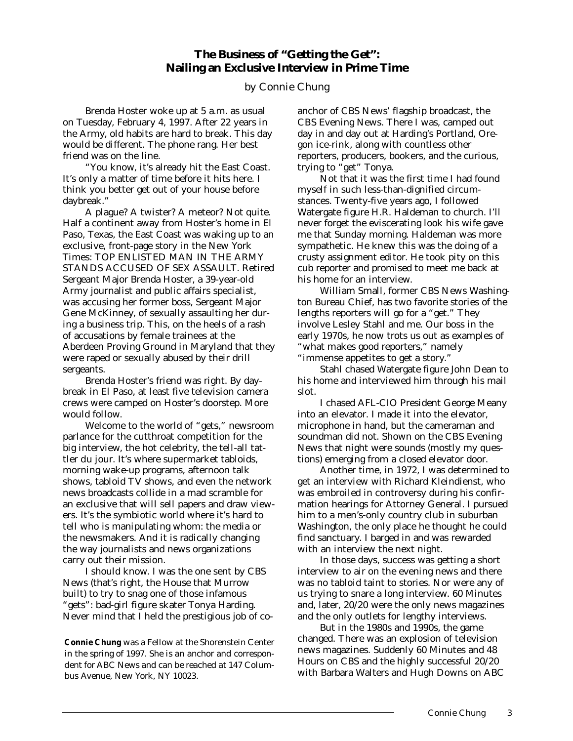# **The Business of "Getting the Get": Nailing an Exclusive Interview in Prime Time**

# by Connie Chung

Brenda Hoster woke up at 5 a.m. as usual on Tuesday, February 4, 1997. After 22 years in the Army, old habits are hard to break. This day would be different. The phone rang. Her best friend was on the line.

"You know, it's already hit the East Coast. It's only a matter of time before it hits here. I think you better get out of your house before daybreak."

A plague? A twister? A meteor? Not quite. Half a continent away from Hoster's home in El Paso, Texas, the East Coast was waking up to an exclusive, front-page story in the *New York Times:* TOP ENLISTED MAN IN THE ARMY STANDS ACCUSED OF SEX ASSAULT. Retired Sergeant Major Brenda Hoster, a 39-year-old Army journalist and public affairs specialist, was accusing her former boss, Sergeant Major Gene McKinney, of sexually assaulting her during a business trip. This, on the heels of a rash of accusations by female trainees at the Aberdeen Proving Ground in Maryland that they were raped or sexually abused by their drill sergeants.

Brenda Hoster's friend was right. By daybreak in El Paso, at least five television camera crews were camped on Hoster's doorstep. More would follow.

Welcome to the world of "gets," newsroom parlance for the cutthroat competition for the big interview, the hot celebrity, the tell-all tattler *du jour*. It's where supermarket tabloids, morning wake-up programs, afternoon talk shows, tabloid TV shows, and even the network news broadcasts collide in a mad scramble for an exclusive that will sell papers and draw viewers. It's the symbiotic world where it's hard to tell who is manipulating whom: the media or the newsmakers. And it is radically changing the way journalists and news organizations carry out their mission.

I should know. I was the one sent by CBS News (that's right, the House that Murrow built) to try to snag one of those infamous "gets": bad-girl figure skater Tonya Harding. Never mind that I held the prestigious job of co-

*Connie Chung was a Fellow at the Shorenstein Center in the spring of 1997. She is an anchor and correspondent for ABC News and can be reached at 147 Columbus Avenue, New York, NY 10023.*

anchor of CBS News' flagship broadcast, the *CBS Evening News.* There I was, camped out day in and day out at Harding's Portland, Oregon ice-rink, along with countless other reporters, producers, bookers, and the curious, trying to "get" Tonya.

Not that it was the first time I had found myself in such less-than-dignified circumstances. Twenty-five years ago, I followed Watergate figure H.R. Haldeman to church. I'll never forget the eviscerating look his wife gave me that Sunday morning. Haldeman was more sympathetic. He knew this was the doing of a crusty assignment editor. He took pity on this cub reporter and promised to meet me back at his home for an interview.

William Small, former CBS News Washington Bureau Chief, has two favorite stories of the lengths reporters will go for a "get." They involve Lesley Stahl and me. Our boss in the early 1970s, he now trots us out as examples of "what makes good reporters," namely "immense appetites to get a story."

Stahl chased Watergate figure John Dean to his home and interviewed him through his mail slot.

I chased AFL-CIO President George Meany into an elevator. I made it into the elevator, microphone in hand, but the cameraman and soundman did not. Shown on the *CBS Evening News* that night were sounds (mostly my questions) emerging from a closed elevator door.

Another time, in 1972, I was determined to get an interview with Richard Kleindienst, who was embroiled in controversy during his confirmation hearings for Attorney General. I pursued him to a men's-only country club in suburban Washington, the only place he thought he could find sanctuary. I barged in and was rewarded with an interview the next night.

In those days, success was getting a short interview to air on the evening news and there was no tabloid taint to stories. Nor were any of us trying to snare a long interview. *60 Minutes* and, later, *20/20* were the only news magazines and the only outlets for lengthy interviews.

But in the 1980s and 1990s, the game changed. There was an explosion of television news magazines. Suddenly *60 Minutes* and *48 Hours* on CBS and the highly successful *20/20* with Barbara Walters and Hugh Downs on ABC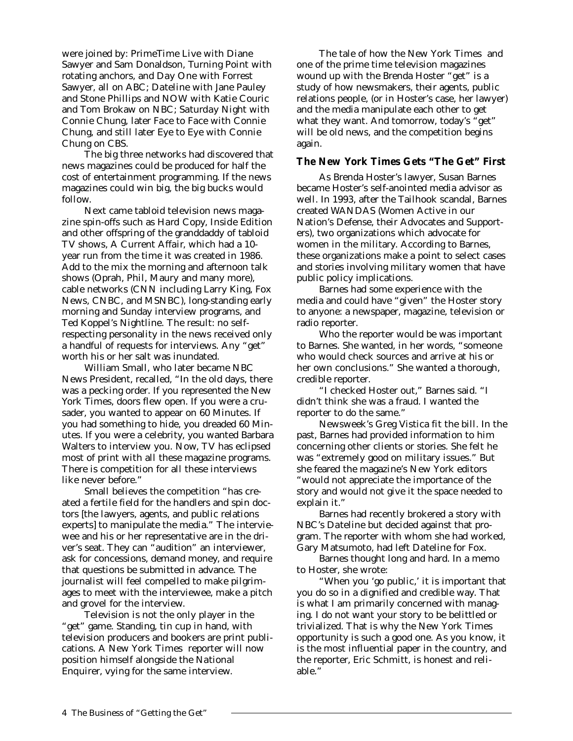were joined by: *PrimeTime Live* with Diane Sawyer and Sam Donaldson, *Turning Point* with rotating anchors, and *Day One* with Forrest Sawyer, all on ABC; *Dateline* with Jane Pauley and Stone Phillips and *NOW* with Katie Couric and Tom Brokaw on NBC; *Saturday Nigh*t with Connie Chung, later *Face to Face* with Connie Chung, and still later *Eye to Eye* with Connie Chung on CBS.

The big three networks had discovered that news magazines could be produced for half the cost of entertainment programming. If the news magazines could win big, the big bucks would follow.

Next came tabloid television news magazine spin-offs such as *Hard Copy, Inside Edition* and other offspring of the granddaddy of tabloid TV shows, *A Current Affair,* which had a 10 year run from the time it was created in 1986. Add to the mix the morning and afternoon talk shows (Oprah, Phil, Maury and many more), cable networks (CNN including Larry King, Fox News, CNBC, and MSNBC), long-standing early morning and Sunday interview programs, and Ted Koppel's *Nightline.* The result: no selfrespecting personality in the news received only a handful of requests for interviews. Any "get" worth his or her salt was inundated.

William Small, who later became NBC News President, recalled, "In the old days, there was a pecking order. If you represented the *New York Times*, doors flew open. If you were a crusader, you wanted to appear on *60 Minutes*. If you had something to hide, you dreaded *60 Minutes*. If you were a celebrity, you wanted Barbara Walters to interview you. Now, TV has eclipsed most of print with all these magazine programs. There is competition for all these interviews like never before."

Small believes the competition "has created a fertile field for the handlers and spin doctors [the lawyers, agents, and public relations experts] to manipulate the media." The interviewee and his or her representative are in the driver's seat. They can "audition" an interviewer, ask for concessions, demand money, and require that questions be submitted in advance. The journalist will feel compelled to make pilgrimages to meet with the interviewee, make a pitch and grovel for the interview.

Television is not the only player in the "get" game. Standing, tin cup in hand, with television producers and bookers are print publications. A *New York Times* reporter will now position himself alongside the *National Enquire*r, vying for the same interview.

The tale of how the *New York Times* and one of the prime time television magazines wound up with the Brenda Hoster "get" is a study of how newsmakers, their agents, public relations people, (or in Hoster's case, her lawyer) and the media manipulate each other to get what they want. And tomorrow, today's "get" will be old news, and the competition begins again.

# *The New York Times Gets "The Get" First*

As Brenda Hoster's lawyer, Susan Barnes became Hoster's self-anointed media advisor as well. In 1993, after the Tailhook scandal, Barnes created WANDAS (Women Active in our Nation's Defense, their Advocates and Supporters), two organizations which advocate for women in the military. According to Barnes, these organizations make a point to select cases and stories involving military women that have public policy implications.

Barnes had some experience with the media and could have "given" the Hoster story to anyone: a newspaper, magazine, television or radio reporter.

Who the reporter would be was important to Barnes. She wanted, in her words, "someone who would check sources and arrive at his or her own conclusions." She wanted a thorough, credible reporter.

"I checked Hoster out," Barnes said. "I didn't think she was a fraud. I wanted the reporter to do the same."

*Newsweek's* Greg Vistica fit the bill. In the past, Barnes had provided information to him concerning other clients or stories. She felt he was "extremely good on military issues." But she feared the magazine's New York editors "would not appreciate the importance of the story and would not give it the space needed to explain it."

Barnes had recently brokered a story with NBC's *Dateline* but decided against that program. The reporter with whom she had worked, Gary Matsumoto, had left *Dateline* for Fox.

Barnes thought long and hard. In a memo to Hoster, she wrote:

"When you 'go public,' it is important that you do so in a dignified and credible way. That is what I am primarily concerned with managing. I do not want your story to be belittled or trivialized. That is why the *New York Times* opportunity is such a good one. As you know, it is the most influential paper in the country, and the reporter, Eric Schmitt, is honest and reliable."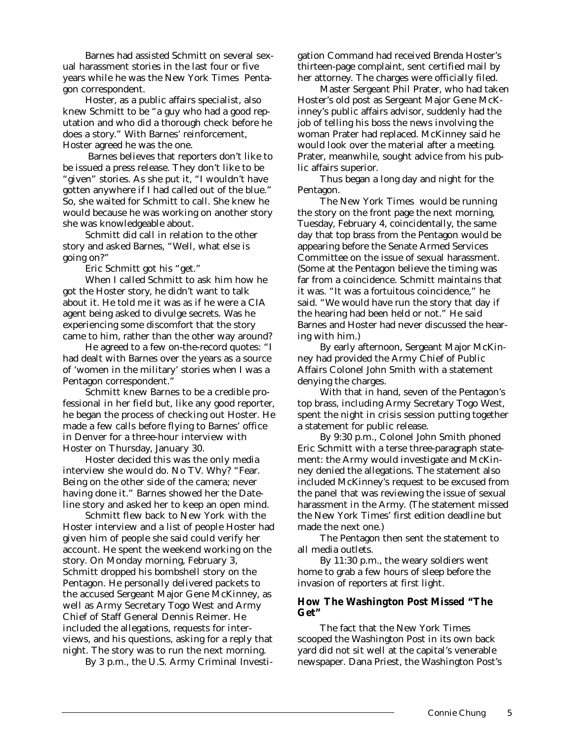Barnes had assisted Schmitt on several sexual harassment stories in the last four or five years while he was the *New York Times* Pentagon correspondent.

Hoster, as a public affairs specialist, also knew Schmitt to be "a guy who had a good reputation and who did a thorough check before he does a story." With Barnes' reinforcement, Hoster agreed he was the one.

Barnes believes that reporters don't like to be issued a press release. They don't like to be "given" stories. As she put it, "I wouldn't have gotten anywhere if I had called out of the blue." So, she waited for Schmitt to call. She knew he would because he was working on another story she was knowledgeable about.

Schmitt did call in relation to the other story and asked Barnes, "Well, what else is going on?"

Eric Schmitt got his "get."

When I called Schmitt to ask him how he got the Hoster story, he didn't want to talk about it. He told me it was as if he were a CIA agent being asked to divulge secrets. Was he experiencing some discomfort that the story came to him, rather than the other way around?

He agreed to a few on-the-record quotes: "I had dealt with Barnes over the years as a source of 'women in the military' stories when I was a Pentagon correspondent."

Schmitt knew Barnes to be a credible professional in her field but, like any good reporter, he began the process of checking out Hoster. He made a few calls before flying to Barnes' office in Denver for a three-hour interview with Hoster on Thursday, January 30.

Hoster decided this was the only media interview she would do. No TV. Why? "Fear. Being on the other side of the camera; never having done it." Barnes showed her the *Dateline* story and asked her to keep an open mind.

Schmitt flew back to New York with the Hoster interview and a list of people Hoster had given him of people she said could verify her account. He spent the weekend working on the story. On Monday morning, February 3, Schmitt dropped his bombshell story on the Pentagon. He personally delivered packets to the accused Sergeant Major Gene McKinney, as well as Army Secretary Togo West and Army Chief of Staff General Dennis Reimer. He included the allegations, requests for interviews, and his questions, asking for a reply that night. The story was to run the next morning.

By 3 p.m., the U.S. Army Criminal Investi-

gation Command had received Brenda Hoster's thirteen-page complaint, sent certified mail by her attorney. The charges were officially filed.

Master Sergeant Phil Prater, who had taken Hoster's old post as Sergeant Major Gene McKinney's public affairs advisor, suddenly had the job of telling his boss the news involving the woman Prater had replaced. McKinney said he would look over the material after a meeting. Prater, meanwhile, sought advice from his public affairs superior.

Thus began a long day and night for the Pentagon.

The *New York Times* would be running the story on the front page the next morning, Tuesday, February 4, coincidentally, the same day that top brass from the Pentagon would be appearing before the Senate Armed Services Committee on the issue of sexual harassment. (Some at the Pentagon believe the timing was far from a coincidence. Schmitt maintains that it was. "It was a fortuitous coincidence," he said. "We would have run the story that day if the hearing had been held or not." He said Barnes and Hoster had never discussed the hearing with him.)

By early afternoon, Sergeant Major McKinney had provided the Army Chief of Public Affairs Colonel John Smith with a statement denying the charges.

With that in hand, seven of the Pentagon's top brass, including Army Secretary Togo West, spent the night in crisis session putting together a statement for public release.

By 9:30 p.m., Colonel John Smith phoned Eric Schmitt with a terse three-paragraph statement: the Army would investigate and McKinney denied the allegations. The statement also included McKinney's request to be excused from the panel that was reviewing the issue of sexual harassment in the Army. (The statement missed the *New York Times*' first edition deadline but made the next one.)

The Pentagon then sent the statement to all media outlets.

By 11:30 p.m., the weary soldiers went home to grab a few hours of sleep before the invasion of reporters at first light.

### *How The Washington Post Missed "The Get"*

The fact that the *New York Times* scooped the *Washington Post* in its own back yard did not sit well at the capital's venerable newspaper. Dana Priest, the *Washington Post's*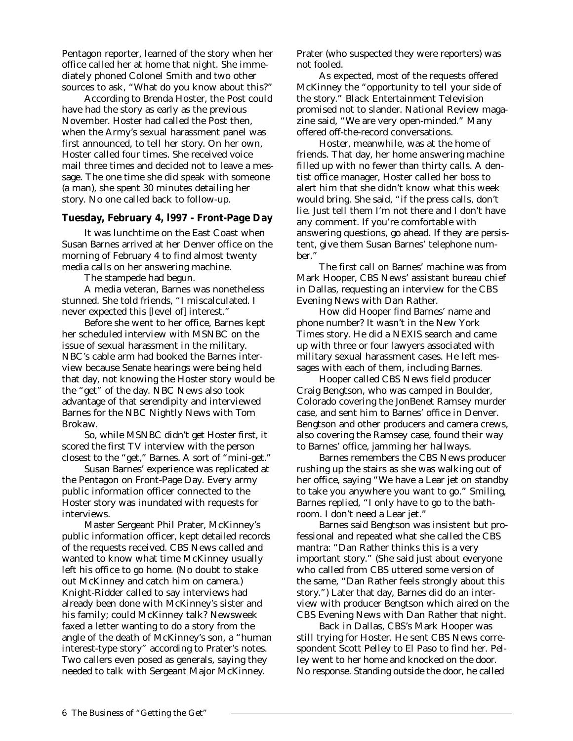Pentagon reporter, learned of the story when her office called her at home that night. She immediately phoned Colonel Smith and two other sources to ask, "What do you know about this?"

According to Brenda Hoster, the *Post* could have had the story as early as the previous November. Hoster had called the *Post* then, when the Army's sexual harassment panel was first announced, to tell her story. On her own, Hoster called four times. She received voice mail three times and decided not to leave a message. The one time she did speak with someone (a man), she spent 30 minutes detailing her story. No one called back to follow-up.

# *Tuesday, February 4, l997 - Front-Page Day*

It was lunchtime on the East Coast when Susan Barnes arrived at her Denver office on the morning of February 4 to find almost twenty media calls on her answering machine.

The stampede had begun.

A media veteran, Barnes was nonetheless stunned. She told friends, "I miscalculated. I never expected this [level of] interest."

Before she went to her office, Barnes kept her scheduled interview with MSNBC on the issue of sexual harassment in the military. NBC's cable arm had booked the Barnes interview because Senate hearings were being held that day, not knowing the Hoster story would be the "get" of the day. NBC News also took advantage of that serendipity and interviewed Barnes for the *NBC Nightly News with Tom Brokaw.*

So, while MSNBC didn't get Hoster first, it scored the first TV interview with the person closest to the "get," Barnes. A sort of "mini-get."

Susan Barnes' experience was replicated at the Pentagon on Front-Page Day. Every army public information officer connected to the Hoster story was inundated with requests for interviews.

Master Sergeant Phil Prater, McKinney's public information officer, kept detailed records of the requests received. CBS News called and wanted to know what time McKinney usually left his office to go home. (No doubt to stake out McKinney and catch him on camera.) Knight-Ridder called to say interviews had already been done with McKinney's sister and his family; could McKinney talk? *Newsweek* faxed a letter wanting to do a story from the angle of the death of McKinney's son, a "human interest-type story" according to Prater's notes. Two callers even posed as generals, saying they needed to talk with Sergeant Major McKinney.

Prater (who suspected they were reporters) was not fooled.

As expected, most of the requests offered McKinney the "opportunity to tell your side of the story." Black Entertainment Television promised not to slander. *National Review* magazine said, "We are very open-minded." Many offered off-the-record conversations.

Hoster, meanwhile, was at the home of friends. That day, her home answering machine filled up with no fewer than thirty calls. A dentist office manager, Hoster called her boss to alert him that she didn't know what this week would bring. She said, "if the press calls, don't lie. Just tell them I'm not there and I don't have any comment. If you're comfortable with answering questions, go ahead. If they are persistent, give them Susan Barnes' telephone number."

The first call on Barnes' machine was from Mark Hooper, CBS News' assistant bureau chief in Dallas, requesting an interview for the *CBS Evening News with Dan Rather.*

How did Hooper find Barnes' name and phone number? It wasn't in the *New York Times* story. He did a NEXIS search and came up with three or four lawyers associated with military sexual harassment cases. He left messages with each of them, including Barnes.

Hooper called CBS News field producer Craig Bengtson, who was camped in Boulder, Colorado covering the JonBenet Ramsey murder case, and sent him to Barnes' office in Denver. Bengtson and other producers and camera crews, also covering the Ramsey case, found their way to Barnes' office, jamming her hallways.

Barnes remembers the CBS News producer rushing up the stairs as she was walking out of her office, saying "We have a Lear jet on standby to take you anywhere you want to go." Smiling, Barnes replied, "I only have to go to the bathroom. I don't need a Lear jet."

Barnes said Bengtson was insistent but professional and repeated what she called the CBS mantra: "Dan Rather thinks this is a very important story." (She said just about everyone who called from CBS uttered some version of the same, "Dan Rather feels strongly about this story.") Later that day, Barnes did do an interview with producer Bengtson which aired on the *CBS Evening News with Dan Rather* that night.

Back in Dallas, CBS's Mark Hooper was still trying for Hoster. He sent CBS News correspondent Scott Pelley to El Paso to find her. Pelley went to her home and knocked on the door. No response. Standing outside the door, he called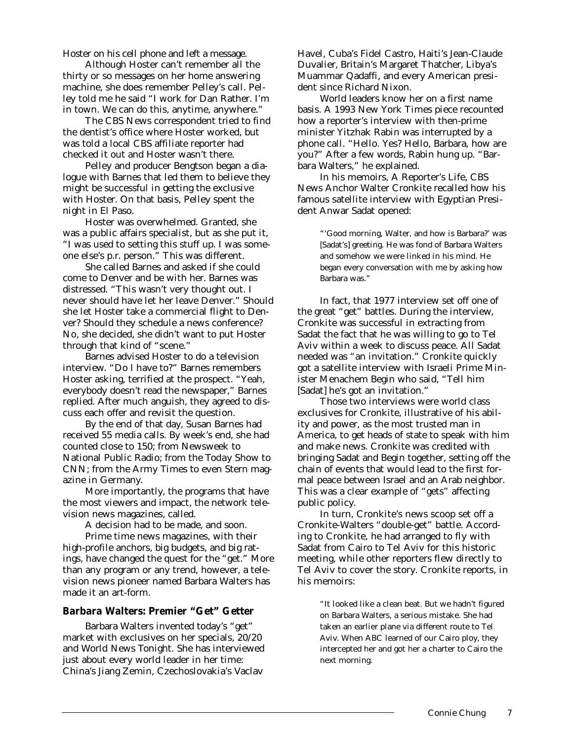Hoster on his cell phone and left a message.

Although Hoster can't remember all the thirty or so messages on her home answering machine, she does remember Pelley's call. Pelley told me he said "I work for Dan Rather. I'm in town. We can do this, anytime, anywhere."

The CBS News correspondent tried to find the dentist's office where Hoster worked, but was told a local CBS affiliate reporter had checked it out and Hoster wasn't there.

Pelley and producer Bengtson began a dialogue with Barnes that led them to believe they might be successful in getting the exclusive with Hoster. On that basis, Pelley spent the night in El Paso.

Hoster was overwhelmed. Granted, she was a public affairs specialist, but as she put it, "I was used to setting this stuff up. I was someone else's p.r. person." This was different.

She called Barnes and asked if she could come to Denver and be with her. Barnes was distressed. "This wasn't very thought out. I never should have let her leave Denver." Should she let Hoster take a commercial flight to Denver? Should they schedule a news conference? No, she decided, she didn't want to put Hoster through that kind of "scene."

Barnes advised Hoster to do a television interview. "Do I have to?" Barnes remembers Hoster asking, terrified at the prospect. "Yeah, everybody doesn't read the newspaper," Barnes replied. After much anguish, they agreed to discuss each offer and revisit the question.

By the end of that day, Susan Barnes had received 55 media calls. By week's end, she had counted close to 150; from *Newsweek* to National Public Radio; from the *Today Show* to CNN; from the *Army Times* to even *Stern* magazine in Germany.

More importantly, the programs that have the most viewers and impact, the network television news magazines, called.

A decision had to be made, and soon.

Prime time news magazines, with their high-profile anchors, big budgets, and big ratings, have changed the quest for the "get." More than any program or any trend, however, a television news pioneer named Barbara Walters has made it an art-form.

# *Barbara Walters: Premier "Get" Getter*

Barbara Walters invented today's "get" market with exclusives on her specials, *20/20* and *World News Tonight*. She has interviewed just about every world leader in her time: China's Jiang Zemin, Czechoslovakia's Vaclav

Havel, Cuba's Fidel Castro, Haiti's Jean-Claude Duvalier, Britain's Margaret Thatcher, Libya's Muammar Qadaffi, and every American president since Richard Nixon.

World leaders know her on a first name basis. A 1993 *New York Times* piece recounted how a reporter's interview with then-prime minister Yitzhak Rabin was interrupted by a phone call. "Hello. Yes? Hello, Barbara, how are you?" After a few words, Rabin hung up. "Barbara Walters," he explained.

In his memoirs, *A Reporter's Life,* CBS News Anchor Walter Cronkite recalled how his famous satellite interview with Egyptian President Anwar Sadat opened:

> "'Good morning, Walter, and how is Barbara?' was [Sadat's] greeting. He was fond of Barbara Walters and somehow we were linked in his mind. He began every conversation with me by asking how Barbara was."

In fact, that 1977 interview set off one of the great "get" battles. During the interview, Cronkite was successful in extracting from Sadat the fact that he was willing to go to Tel Aviv within a week to discuss peace. All Sadat needed was "an invitation." Cronkite quickly got a satellite interview with Israeli Prime Minister Menachem Begin who said, "Tell him [Sadat] he's got an invitation."

Those two interviews were world class exclusives for Cronkite, illustrative of his ability and power, as the most trusted man in America, to get heads of state to speak with him and make news. Cronkite was credited with bringing Sadat and Begin together, setting off the chain of events that would lead to the first formal peace between Israel and an Arab neighbor. This was a clear example of "gets" affecting public policy.

In turn, Cronkite's news scoop set off a Cronkite-Walters "double-get" battle. According to Cronkite, he had arranged to fly with Sadat from Cairo to Tel Aviv for this historic meeting, while other reporters flew directly to Tel Aviv to cover the story. Cronkite reports, in his memoirs:

> "It looked like a clean beat. But we hadn't figured on Barbara Walters, a serious mistake. She had taken an earlier plane via different route to Tel Aviv. When ABC learned of our Cairo ploy, they intercepted her and got her a charter to Cairo the next morning.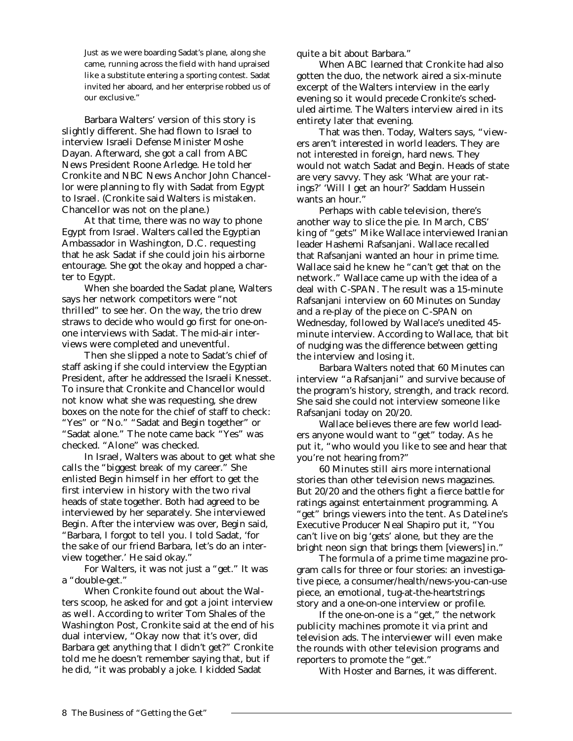Just as we were boarding Sadat's plane, along she came, running across the field with hand upraised like a substitute entering a sporting contest. Sadat invited her aboard, and her enterprise robbed us of our exclusive."

Barbara Walters' version of this story is slightly different. She had flown to Israel to interview Israeli Defense Minister Moshe Dayan. Afterward, she got a call from ABC News President Roone Arledge. He told her Cronkite and NBC News Anchor John Chancellor were planning to fly with Sadat from Egypt to Israel. (Cronkite said Walters is mistaken. Chancellor was not on the plane.)

At that time, there was no way to phone Egypt from Israel. Walters called the Egyptian Ambassador in Washington, D.C. requesting that he ask Sadat if she could join his airborne entourage. She got the okay and hopped a charter to Egypt.

When she boarded the Sadat plane, Walters says her network competitors were "not thrilled" to see her. On the way, the trio drew straws to decide who would go first for one-onone interviews with Sadat. The mid-air interviews were completed and uneventful.

Then she slipped a note to Sadat's chief of staff asking if she could interview the Egyptian President, *after* he addressed the Israeli Knesset. To insure that Cronkite and Chancellor would not know what she was requesting, she drew boxes on the note for the chief of staff to check: "Yes" or "No." "Sadat and Begin together" or "Sadat alone." The note came back "Yes" was checked. "Alone" was checked.

In Israel, Walters was about to get what she calls the "biggest break of my career." She enlisted Begin himself in her effort to get the first interview in history with the two rival heads of state together. Both had agreed to be interviewed by her separately. She interviewed Begin. After the interview was over, Begin said, "Barbara, I forgot to tell you. I told Sadat, 'for the sake of our friend Barbara, let's do an interview together.' He said okay."

For Walters, it was not just a "get." It was a "double-get."

When Cronkite found out about the Walters scoop, he asked for and got a joint interview as well. According to writer Tom Shales of the *Washington Post*, Cronkite said at the end of his dual interview, "Okay now that it's over, did Barbara get anything that I didn't get?" Cronkite told me he doesn't remember saying that, but if he did, "it was probably a joke. I kidded Sadat

quite a bit about Barbara."

When ABC learned that Cronkite had also gotten the duo, the network aired a six-minute excerpt of the Walters interview in the early evening so it would precede Cronkite's scheduled airtime. The Walters interview aired in its entirety later that evening.

That was then. Today, Walters says, "viewers aren't interested in world leaders. They are not interested in foreign, hard news. They would not watch Sadat and Begin. Heads of state are very savvy. They ask 'What are your ratings?' 'Will I get an hour?' Saddam Hussein wants an hour."

Perhaps with cable television, there's another way to slice the pie. In March, CBS' king of "gets" Mike Wallace interviewed Iranian leader Hashemi Rafsanjani. Wallace recalled that Rafsanjani wanted an hour in prime time. Wallace said he knew he "can't get that on the network." Wallace came up with the idea of a deal with C-SPAN. The result was a 15-minute Rafsanjani interview on *60 Minutes* on Sunday and a re-play of the piece on C-SPAN on Wednesday, followed by Wallace's unedited 45 minute interview. According to Wallace, that bit of nudging was the difference between getting the interview and losing it.

Barbara Walters noted that *60 Minutes* can interview "a Rafsanjani" and survive because of the program's history, strength, and track record. She said she could not interview someone like Rafsanjani today on *20/20*.

Wallace believes there are few world leaders anyone would want to "get" today. As he put it, "who would you like to see and hear that you're not hearing from?"

*60 Minutes* still airs more international stories than other television news magazines. But *20/20* and the others fight a fierce battle for ratings against entertainment programming. A "get" brings viewers into the tent. As *Dateline*'s Executive Producer Neal Shapiro put it, "You can't live on big 'gets' alone, but they are the bright neon sign that brings them [viewers] in."

The formula of a prime time magazine program calls for three or four stories: an investigative piece, a consumer/health/news-you-can-use piece, an emotional, tug-at-the-heartstrings story and a one-on-one interview or profile.

If the one-on-one is a "get," the network publicity machines promote it via print and television ads. The interviewer will even make the rounds with other television programs and reporters to promote the "get."

With Hoster and Barnes, it was different.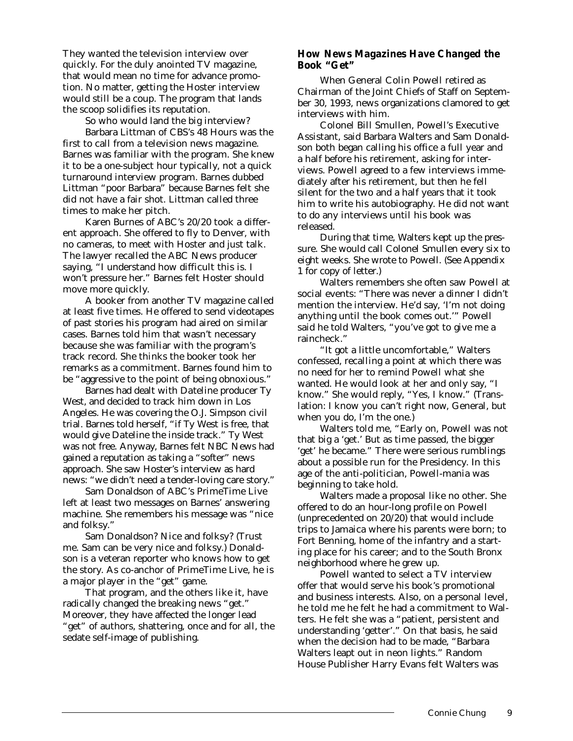They wanted the television interview over quickly. For the duly anointed TV magazine, that would mean no time for advance promotion. No matter, getting the Hoster interview would still be a coup. The program that lands the scoop solidifies its reputation.

So who would land the big interview?

Barbara Littman of CBS's *48 Hours* was the first to call from a television news magazine. Barnes was familiar with the program. She knew it to be a one-subject hour typically, not a quick turnaround interview program. Barnes dubbed Littman "poor Barbara" because Barnes felt she did not have a fair shot. Littman called three times to make her pitch.

Karen Burnes of ABC's *20/20* took a different approach. She offered to fly to Denver, with no cameras, to meet with Hoster and just talk. The lawyer recalled the ABC News producer saying, "I understand how difficult this is. I won't pressure her." Barnes felt Hoster should move more quickly.

A booker from another TV magazine called at least five times. He offered to send videotapes of past stories his program had aired on similar cases. Barnes told him that wasn't necessary because she was familiar with the program's track record. She thinks the booker took her remarks as a commitment. Barnes found him to be "aggressive to the point of being obnoxious."

Barnes had dealt with *Dateline* producer Ty West, and decided to track him down in Los Angeles. He was covering the O.J. Simpson civil trial. Barnes told herself, "if Ty West is free, that would give *Dateline* the inside track." Ty West was not free. Anyway, Barnes felt NBC News had gained a reputation as taking a "softer" news approach. She saw Hoster's interview as hard news: "we didn't need a tender-loving care story."

Sam Donaldson of ABC's *PrimeTime Live* left at least two messages on Barnes' answering machine. She remembers his message was "nice and folksy."

Sam Donaldson? Nice and folksy? (Trust me. Sam can be very nice and folksy.) Donaldson is a veteran reporter who knows how to get the story. As co-anchor of *PrimeTime Live,* he is a major player in the "get" game.

That program, and the others like it, have radically changed the breaking news "get." Moreover, they have affected the longer lead "get" of authors, shattering, once and for all, the sedate self-image of publishing.

## *How News Magazines Have Changed the Book "Get"*

When General Colin Powell retired as Chairman of the Joint Chiefs of Staff on September 30, 1993, news organizations clamored to get interviews with him.

Colonel Bill Smullen, Powell's Executive Assistant, said Barbara Walters and Sam Donaldson both began calling his office a full year and a half before his retirement, asking for interviews. Powell agreed to a few interviews immediately after his retirement, but then he fell silent for the two and a half years that it took him to write his autobiography. He did not want to do any interviews until his book was released.

During that time, Walters kept up the pressure. She would call Colonel Smullen every six to eight weeks. She wrote to Powell. (See Appendix 1 for copy of letter.)

Walters remembers she often saw Powell at social events: "There was never a dinner I didn't mention the interview. He'd say, 'I'm not doing anything until the book comes out.'" Powell said he told Walters, "you've got to give me a raincheck."

"It got a little uncomfortable," Walters confessed, recalling a point at which there was no need for her to remind Powell what she wanted. He would look at her and only say, "I know." She would reply, "Yes, I know." (Translation: I know you can't right now, General, but when you do, I'm the one.)

Walters told me, "Early on, Powell was not that big a 'get.' But as time passed, the bigger 'get' he became." There were serious rumblings about a possible run for the Presidency. In this age of the anti-politician, Powell-mania was beginning to take hold.

Walters made a proposal like no other. She offered to do an hour-long profile on Powell (unprecedented on *20/20*) that would include trips to Jamaica where his parents were born; to Fort Benning, home of the infantry and a starting place for his career; and to the South Bronx neighborhood where he grew up.

Powell wanted to select a TV interview offer that would serve his book's promotional and business interests. Also, on a personal level, he told me he felt he had a commitment to Walters. He felt she was a "patient, persistent and understanding 'getter'." On that basis, he said when the decision had to be made, "Barbara Walters leapt out in neon lights." Random House Publisher Harry Evans felt Walters was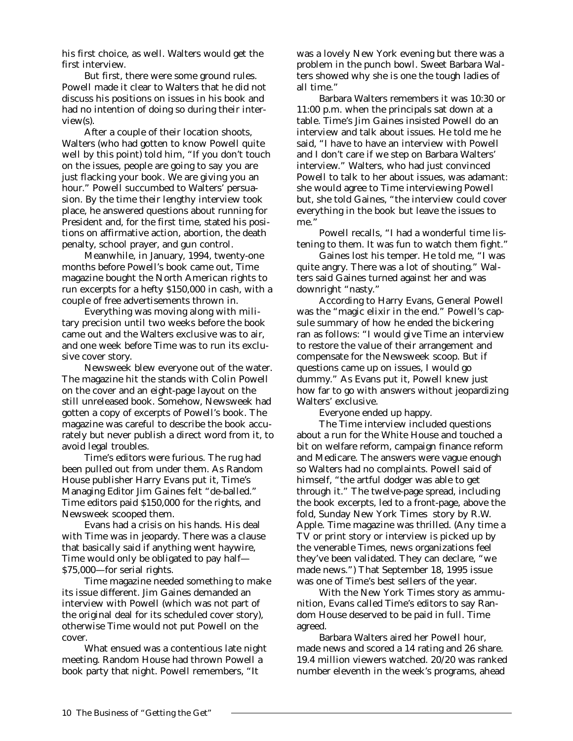his first choice, as well. Walters would get the first interview.

But first, there were some ground rules. Powell made it clear to Walters that he did not discuss his positions on issues in his book and had no intention of doing so during their interview(s).

After a couple of their location shoots, Walters (who had gotten to know Powell quite well by this point) told him, "If you don't touch on the issues, people are going to say you are just flacking your book. We are giving you an hour." Powell succumbed to Walters' persuasion. By the time their lengthy interview took place, he answered questions about running for President and, for the first time, stated his positions on affirmative action, abortion, the death penalty, school prayer, and gun control.

Meanwhile, in January, 1994, twenty-one months before Powell's book came out, *Time* magazine bought the North American rights to run excerpts for a hefty \$150,000 in cash, with a couple of free advertisements thrown in.

Everything was moving along with military precision until two weeks before the book came out and the Walters exclusive was to air, and one week before *Time* was to run its exclusive cover story.

*Newsweek* blew everyone out of the water. The magazine hit the stands with Colin Powell on the cover and an eight-page layout on the still unreleased book. Somehow, *Newsweek* had gotten a copy of excerpts of Powell's book. The magazine was careful to describe the book accurately but never publish a direct word from it, to avoid legal troubles.

*Time's* editors were furious. The rug had been pulled out from under them. As Random House publisher Harry Evans put it, *Time's* Managing Editor Jim Gaines felt "de-balled." *Time* editors paid \$150,000 for the rights, and *Newsweek* scooped them.

Evans had a crisis on his hands. His deal with *Time* was in jeopardy. There was a clause that basically said if anything went haywire, *Time* would only be obligated to pay half— \$75,000—for serial rights.

*Time* magazine needed something to make its issue different. Jim Gaines demanded an interview with Powell (which was not part of the original deal for its scheduled cover story), otherwise *Time* would not put Powell on the cover.

What ensued was a contentious late night meeting. Random House had thrown Powell a book party that night. Powell remembers, "It

was a lovely New York evening but there was a problem in the punch bowl. Sweet Barbara Walters showed why she is one the tough ladies of all time."

Barbara Walters remembers it was 10:30 or 11:00 p.m. when the principals sat down at a table. *Time's* Jim Gaines insisted Powell do an interview and talk about issues. He told me he said, "I have to have an interview with Powell and I don't care if we step on Barbara Walters' interview." Walters, who had just convinced Powell to talk to her about issues, was adamant: she would agree to *Time* interviewing Powell but, she told Gaines, "the interview could cover everything in the book but leave the issues to me."

Powell recalls, "I had a wonderful time listening to them. It was fun to watch them fight."

Gaines lost his temper. He told me, "I was quite angry. There was a lot of shouting." Walters said Gaines turned against her and was downright "nasty."

According to Harry Evans, General Powell was the "magic elixir in the end." Powell's capsule summary of how he ended the bickering ran as follows: "I would give *Time* an interview to restore the value of their arrangement and compensate for the *Newsweek* scoop. But if questions came up on issues, I would go dummy." As Evans put it, Powell knew just how far to go with answers without jeopardizing Walters' exclusive.

Everyone ended up happy.

The *Time* interview included questions about a run for the White House and touched a bit on welfare reform, campaign finance reform and Medicare. The answers were vague enough so Walters had no complaints. Powell said of himself, "the artful dodger was able to get through it." The twelve-page spread, including the book excerpts, led to a front-page, above the fold, Sunday *New York Times* story by R.W. Apple. *Time* magazine was thrilled. (Any time a TV or print story or interview is picked up by the venerable *Time*s, news organizations feel they've been validated. They can declare, "we made news.") That September 18, 1995 issue was one of *Time's* best sellers of the year.

With the *New York Times* story as ammunition, Evans called *Time's* editors to say Random House deserved to be paid in full. *Time* agreed.

Barbara Walters aired her Powell hour, made news and scored a 14 rating and 26 share. 19.4 million viewers watched. *20/20* was ranked number eleventh in the week's programs, ahead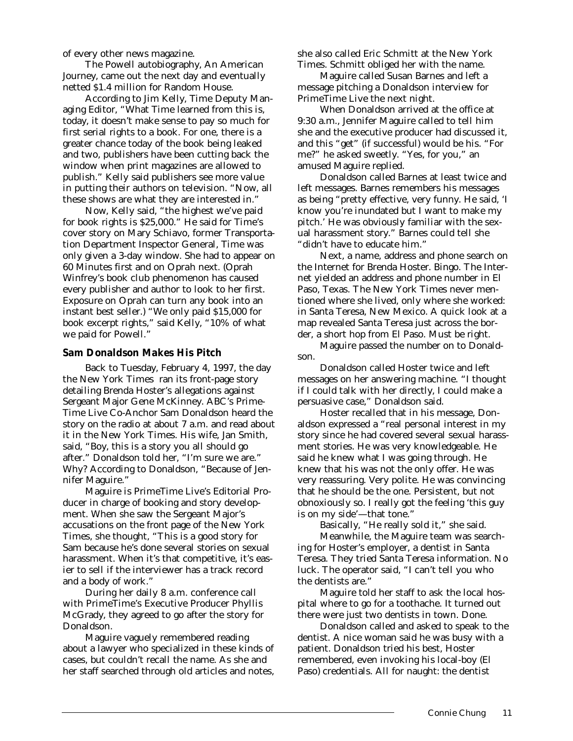of every other news magazine.

The Powell autobiography, *An American Journey,* came out the next day and eventually netted \$1.4 million for Random House.

According to Jim Kelly, *Time* Deputy Managing Editor, "What *Time* learned from this is, today, it doesn't make sense to pay so much for first serial rights to a book. For one, there is a greater chance today of the book being leaked and two, publishers have been cutting back the window when print magazines are allowed to publish." Kelly said publishers see more value in putting their authors on television. "Now, all these shows are what they are interested in."

Now, Kelly said, "the highest we've paid for book rights is \$25,000." He said for *Time's* cover story on Mary Schiavo, former Transportation Department Inspector General, *Time* was only given a 3-day window. She had to appear on *60 Minutes* first and on *Oprah* next. (Oprah Winfrey's book club phenomenon has caused every publisher and author to look to her first. Exposure on *Oprah* can turn any book into an instant best seller.) "We only paid \$15,000 for book excerpt rights," said Kelly, "10% of what we paid for Powell."

#### *Sam Donaldson Makes His Pitch*

Back to Tuesday, February 4, 1997, the day the *New York Times* ran its front-page story detailing Brenda Hoster's allegations against Sergeant Major Gene McKinney. ABC's *Prime-Time Live* Co-Anchor Sam Donaldson heard the story on the radio at about 7 a.m. and read about it in the *New York Times*. His wife, Jan Smith, said, "Boy, this is a story you all should go after." Donaldson told her, "I'm sure we are." Why? According to Donaldson, "Because of Jennifer Maguire."

Maguire is *PrimeTime Live's* Editorial Producer in charge of booking and story development. When she saw the Sergeant Major's accusations on the front page of the *New York Times*, she thought, "This is a good story for Sam because he's done several stories on sexual harassment. When it's that competitive, it's easier to sell if the interviewer has a track record and a body of work."

During her daily 8 a.m. conference call with *PrimeTime's* Executive Producer Phyllis McGrady, they agreed to go after the story for Donaldson.

Maguire vaguely remembered reading about a lawyer who specialized in these kinds of cases, but couldn't recall the name. As she and her staff searched through old articles and notes, she also called Eric Schmitt at the *New York Times*. Schmitt obliged her with the name.

Maguire called Susan Barnes and left a message pitching a Donaldson interview for *PrimeTime Live* the next night.

When Donaldson arrived at the office at 9:30 a.m., Jennifer Maguire called to tell him she and the executive producer had discussed it, and this "get" (if successful) would be his. "For me?" he asked sweetly. "Yes, for you," an amused Maguire replied.

Donaldson called Barnes at least twice and left messages. Barnes remembers his messages as being "pretty effective, very funny. He said, 'I know you're inundated but I want to make my pitch.' He was obviously familiar with the sexual harassment story." Barnes could tell she "didn't have to educate him."

Next, a name, address and phone search on the Internet for Brenda Hoster. Bingo. The Internet yielded an address and phone number in El Paso, Texas. The *New York Times* never mentioned where she lived, only where she worked: in Santa Teresa, New Mexico. A quick look at a map revealed Santa Teresa just across the border, a short hop from El Paso. Must be right.

Maguire passed the number on to Donaldson.

Donaldson called Hoster twice and left messages on her answering machine. "I thought if I could talk with her directly, I could make a persuasive case," Donaldson said.

Hoster recalled that in his message, Donaldson expressed a "real personal interest in my story since he had covered several sexual harassment stories. He was very knowledgeable. He said he knew what I was going through. He knew that his was not the only offer. He was very reassuring. Very polite. He was convincing that he should be the one. Persistent, but not obnoxiously so. I really got the feeling 'this guy is on my side'—that tone."

Basically, "He really sold it," she said.

Meanwhile, the Maguire team was searching for Hoster's employer, a dentist in Santa Teresa. They tried Santa Teresa information. No luck. The operator said, "I can't tell you who the dentists are."

Maguire told her staff to ask the local hospital where to go for a toothache. It turned out there were just two dentists in town. Done.

Donaldson called and asked to speak to the dentist. A nice woman said he was busy with a patient. Donaldson tried his best, Hoster remembered, even invoking his local-boy (El Paso) credentials. All for naught: the dentist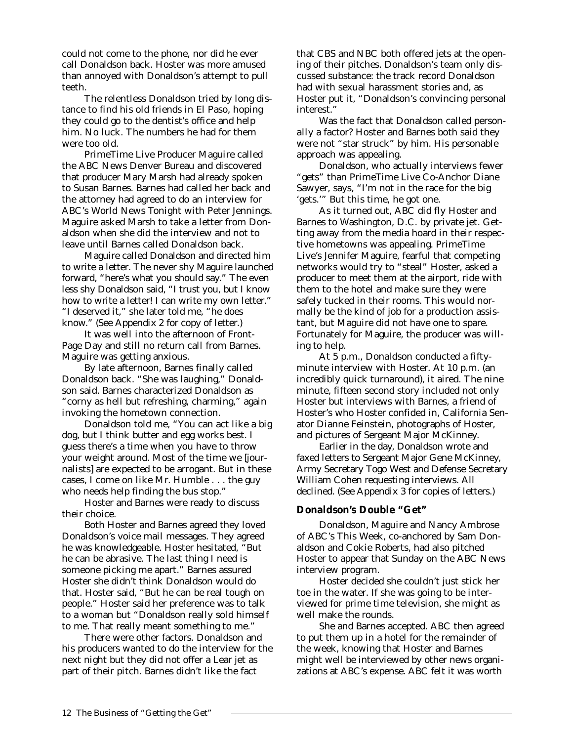could not come to the phone, nor did he ever call Donaldson back. Hoster was more amused than annoyed with Donaldson's attempt to pull teeth.

The relentless Donaldson tried by long distance to find his old friends in El Paso, hoping they could go to the dentist's office and help him. No luck. The numbers he had for them were too old.

*PrimeTime Live* Producer Maguire called the ABC News Denver Bureau and discovered that producer Mary Marsh had already spoken to Susan Barnes. Barnes had called her back and the attorney had agreed to do an interview for ABC's *World News Tonight with Peter Jennings.* Maguire asked Marsh to take a letter from Donaldson when she did the interview and not to leave until Barnes called Donaldson back.

Maguire called Donaldson and directed him to write a letter. The never shy Maguire launched forward, *"here's* what you should say." The even less shy Donaldson said, "I trust you, but I know how to write a letter! I can write my own letter." "I deserved it," she later told me, "he does know." (See Appendix 2 for copy of letter.)

It was well into the afternoon of Front-Page Day and still no return call from Barnes. Maguire was getting anxious.

By late afternoon, Barnes finally called Donaldson back. "She was laughing," Donaldson said. Barnes characterized Donaldson as "corny as hell but refreshing, charming," again invoking the hometown connection.

Donaldson told me, "You can act like a big dog, but I think butter and egg works best. I guess there's a time when you have to throw your weight around. Most of the time we [journalists] are expected to be arrogant. But in these cases, I come on like Mr. Humble . . . the guy who needs help finding the bus stop."

Hoster and Barnes were ready to discuss their choice.

Both Hoster and Barnes agreed they loved Donaldson's voice mail messages. They agreed he was knowledgeable. Hoster hesitated, "But he can be abrasive. The last thing I need is someone picking me apart." Barnes assured Hoster she didn't think Donaldson would do that. Hoster said, "But he can be real tough on people." Hoster said her preference was to talk to a woman but "Donaldson really sold himself to me. That really meant something to me."

There were other factors. Donaldson and his producers wanted to do the interview for the next night but they did not offer a Lear jet as part of their pitch. Barnes didn't like the fact

that CBS and NBC both offered jets at the opening of their pitches. Donaldson's team only discussed substance: the track record Donaldson had with sexual harassment stories and, as Hoster put it, "Donaldson's convincing personal interest."

Was the fact that Donaldson called *personally* a factor? Hoster and Barnes both said they were not "star struck" by him. His personable approach was appealing.

Donaldson, who actually interviews fewer "gets" than *PrimeTime Live* Co-Anchor Diane Sawyer, says, "I'm not in the race for the big 'gets.'" But this time, he got one.

As it turned out, ABC did fly Hoster and Barnes to Washington, D.C. by private jet. Getting away from the media hoard in their respective hometowns was appealing. *PrimeTime Live's* Jennifer Maguire, fearful that competing networks would try to "steal" Hoster, asked a producer to meet them at the airport, ride with them to the hotel and make sure they were safely tucked in their rooms. This would normally be the kind of job for a production assistant, but Maguire did not have one to spare. Fortunately for Maguire, the producer was willing to help.

At 5 p.m., Donaldson conducted a fiftyminute interview with Hoster. At 10 p.m. (an incredibly quick turnaround), it aired. The nine minute, fifteen second story included not only Hoster but interviews with Barnes, a friend of Hoster's who Hoster confided in, California Senator Dianne Feinstein, photographs of Hoster, and pictures of Sergeant Major McKinney.

Earlier in the day, Donaldson wrote and faxed letters to Sergeant Major Gene McKinney, Army Secretary Togo West and Defense Secretary William Cohen requesting interviews. All declined. (See Appendix 3 for copies of letters.)

### *Donaldson's Double "Get"*

Donaldson, Maguire and Nancy Ambrose of ABC's *This Week,* co-anchored by Sam Donaldson and Cokie Roberts, had also pitched Hoster to appear that Sunday on the ABC News interview program.

Hoster decided she couldn't just stick her toe in the water. If she was going to be interviewed for prime time television, she might as well make the rounds.

She and Barnes accepted. ABC then agreed to put them up in a hotel for the remainder of the week, knowing that Hoster and Barnes might well be interviewed by other news organizations at ABC's expense. ABC felt it was worth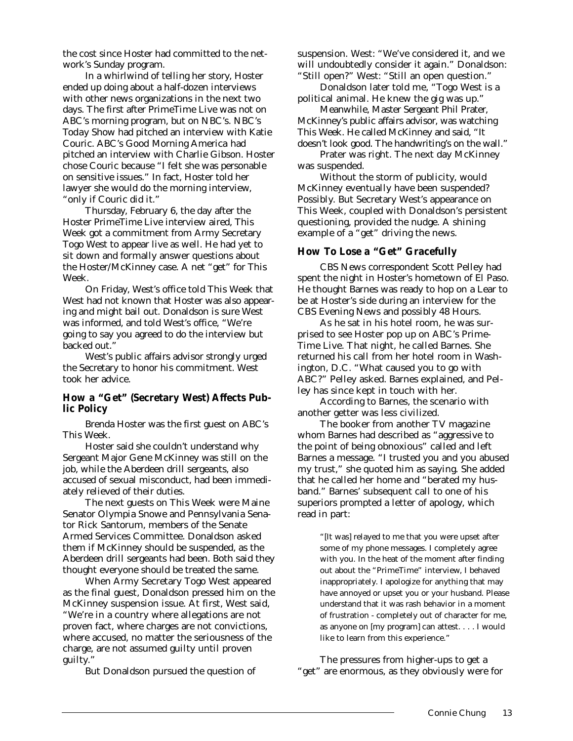the cost since Hoster had committed to the network's Sunday program.

In a whirlwind of telling her story, Hoster ended up doing about a half-dozen interviews with other news organizations in the next two days. The first after *PrimeTime Live* was not on ABC's morning program, but on NBC's. NBC's *Today Show* had pitched an interview with Katie Couric. ABC's *Good Morning America* had pitched an interview with Charlie Gibson. Hoster chose Couric because "I felt she was personable on sensitive issues." In fact, Hoster told her lawyer she would do the morning interview, "only if Couric did it."

Thursday, February 6, the day after the Hoster *PrimeTime Live* interview aired, *This Week* got a commitment from Army Secretary Togo West to appear live as well. He had yet to sit down and formally answer questions about the Hoster/McKinney case. A net "get" for *This Week.* 

On Friday, West's office told *This Week* that West had not known that Hoster was also appearing and might bail out. Donaldson is sure West was informed, and told West's office, "We're going to say you agreed to do the interview but backed out.'

West's public affairs advisor strongly urged the Secretary to honor his commitment. West took her advice.

# *How a "Get" (Secretary West) Affects Public Policy*

Brenda Hoster was the first guest on ABC's *This Week.*

Hoster said she couldn't understand why Sergeant Major Gene McKinney was still on the job, while the Aberdeen drill sergeants, also accused of sexual misconduct, had been immediately relieved of their duties.

The next guests on *This Week* were Maine Senator Olympia Snowe and Pennsylvania Senator Rick Santorum, members of the Senate Armed Services Committee. Donaldson asked them if McKinney should be suspended, as the Aberdeen drill sergeants had been. Both said they thought everyone should be treated the same.

When Army Secretary Togo West appeared as the final guest, Donaldson pressed him on the McKinney suspension issue. At first, West said, "We're in a country where allegations are not proven fact, where charges are not convictions, where accused, no matter the seriousness of the charge, are not assumed guilty until proven guilty."

But Donaldson pursued the question of

suspension. West: "We've considered it, and we will undoubtedly consider it again." Donaldson: "Still open?" West: "Still an open question."

Donaldson later told me, "Togo West is a political animal. He knew the gig was up."

Meanwhile, Master Sergeant Phil Prater, McKinney's public affairs advisor, was watching *This Week*. He called McKinney and said, "It doesn't look good. The handwriting's on the wall."

Prater was right. The next day McKinney was suspended.

Without the storm of publicity, would McKinney eventually have been suspended? Possibly. But Secretary West's appearance on *This Week*, coupled with Donaldson's persistent questioning, provided the nudge. A shining example of a "get" driving the news.

# *How To Lose a "Get" Gracefully*

CBS News correspondent Scott Pelley had spent the night in Hoster's hometown of El Paso. He thought Barnes was ready to hop on a Lear to be at Hoster's side during an interview for the *CBS Evening News* and possibly *48 Hours.*

As he sat in his hotel room, he was surprised to see Hoster pop up on ABC's *Prime-Time Live*. That night, he called Barnes. She returned his call from her hotel room in Washington, D.C. "What caused you to go with ABC?" Pelley asked. Barnes explained, and Pelley has since kept in touch with her.

According to Barnes, the scenario with another getter was less civilized.

The booker from another TV magazine whom Barnes had described as "aggressive to the point of being obnoxious" called and left Barnes a message. "I trusted you and you abused my trust," she quoted him as saying. She added that he called her home and "berated my husband." Barnes' subsequent call to one of his superiors prompted a letter of apology, which read in part:

> "[It was] relayed to me that you were upset after some of my phone messages. I completely agree with you. In the heat of the moment after finding out about the *"PrimeTime"* interview, I behaved inappropriately. I apologize for anything that may have annoyed or upset you or your husband. Please understand that it was rash behavior in a moment of frustration - completely out of character for me, as anyone on [my program] can attest. . . . I would like to learn from this experience."

The pressures from higher-ups to get a "get" are enormous, as they obviously were for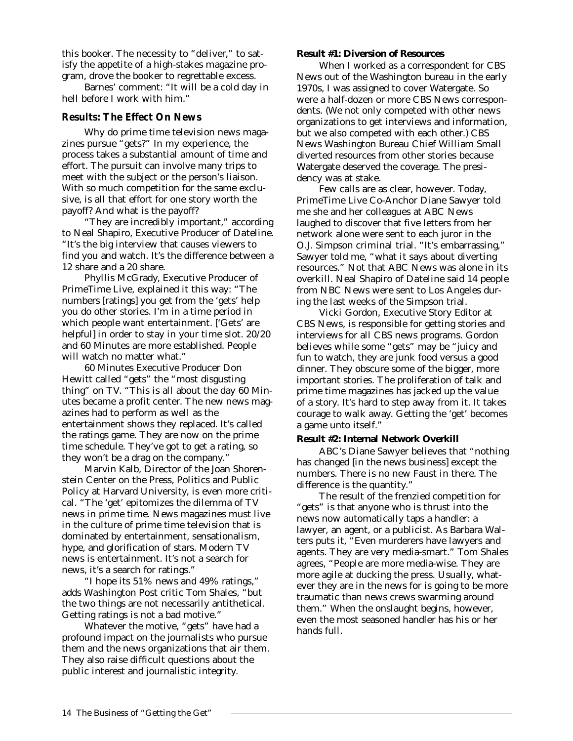this booker. The necessity to "deliver," to satisfy the appetite of a high-stakes magazine program, drove the booker to regrettable excess.

Barnes' comment: "It will be a cold day in hell before I work with him."

# *Results: The Effect On News*

Why do prime time television news magazines pursue "gets?" In my experience, the process takes a substantial amount of time and effort. The pursuit can involve many trips to meet with the subject or the person's liaison. With so much competition for the same exclusive, is all that effort for one story worth the payoff? And what is the payoff?

"They are incredibly important," according to Neal Shapiro, Executive Producer of *Dateline*. "It's the big interview that causes viewers to find you and watch. It's the difference between a 12 share and a 20 share.

Phyllis McGrady, Executive Producer of *PrimeTime Live*, explained it this way: "The numbers [ratings] you get from the 'gets' help you do other stories. I'm in a time period in which people want entertainment. ['Gets' are helpful] in order to stay in your time slot. *20/20* and *60 Minutes* are more established. People will watch no matter what."

*60 Minutes* Executive Producer Don Hewitt called "gets" the "most disgusting thing" on TV. "This is all about the day *60 Minutes* became a profit center. The new news magazines had to perform as well as the entertainment shows they replaced. It's called the ratings game. They are now on the prime time schedule. They've got to get a rating, so they won't be a drag on the company."

Marvin Kalb, Director of the Joan Shorenstein Center on the Press, Politics and Public Policy at Harvard University, is even more critical. "The 'get' epitomizes the dilemma of TV news in prime time. News magazines must live in the culture of prime time television that is dominated by entertainment, sensationalism, hype, and glorification of stars. Modern TV news is entertainment. It's not a search for news, it's a search for ratings."

"I hope its 51% news and 49% ratings," adds *Washington Post* critic Tom Shales, "but the two things are not necessarily antithetical. Getting ratings is not a bad motive."

Whatever the motive, "gets" have had a profound impact on the journalists who pursue them and the news organizations that air them. They also raise difficult questions about the public interest and journalistic integrity.

#### **Result #1: Diversion of Resources**

When I worked as a correspondent for CBS News out of the Washington bureau in the early 1970s, I was assigned to cover Watergate. So were a half-dozen or more CBS News correspondents. (We not only competed with other news organizations to get interviews and information, but we also competed with each other.) CBS News Washington Bureau Chief William Small diverted resources from other stories because Watergate deserved the coverage. The presidency was at stake.

Few calls are as clear, however. Today, *PrimeTime Live* Co-Anchor Diane Sawyer told me she and her colleagues at ABC News laughed to discover that five letters from her network alone were sent to each juror in the O.J. Simpson criminal trial. "It's embarrassing," Sawyer told me, "what it says about diverting resources." Not that ABC News was alone in its overkill. Neal Shapiro of *Dateline* said 14 people from NBC News were sent to Los Angeles during the last weeks of the Simpson trial.

Vicki Gordon, Executive Story Editor at CBS News, is responsible for getting stories and interviews for all CBS news programs. Gordon believes while some "gets" may be "juicy and fun to watch, they are junk food versus a good dinner. They obscure some of the bigger, more important stories. The proliferation of talk and prime time magazines has jacked up the value of a story. It's hard to step away from it. It takes courage to walk away. Getting the 'get' becomes a game unto itself."

### **Result #2: Internal Network Overkill**

ABC's Diane Sawyer believes that "nothing has changed [in the news business] except the numbers. There is no new Faust in there. The difference is the quantity."

The result of the frenzied competition for "gets" is that anyone who is thrust into the news now automatically taps a handler: a lawyer, an agent, or a publicist. As Barbara Walters puts it, "Even murderers have lawyers and agents. They are very media-smart." Tom Shales agrees, "People are more media-wise. They are more agile at ducking the press. Usually, whatever they are in the news for is going to be more traumatic than news crews swarming around them." When the onslaught begins, however, even the most seasoned handler has his or her hands full.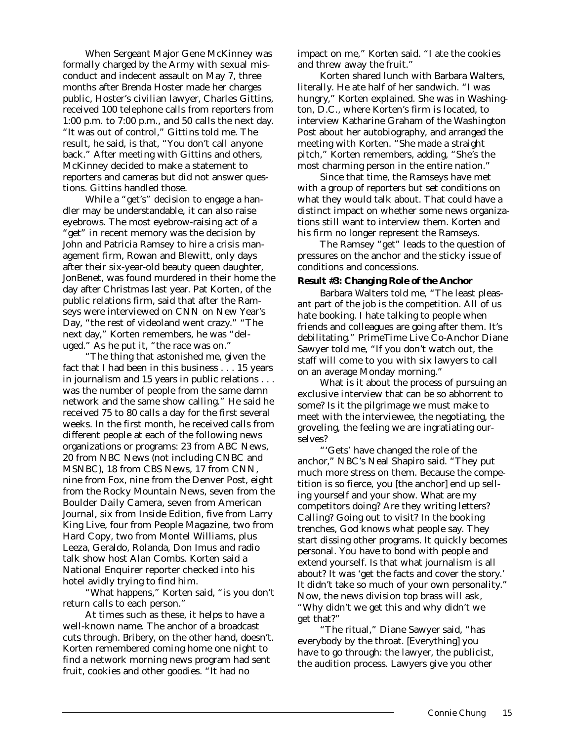When Sergeant Major Gene McKinney was formally charged by the Army with sexual misconduct and indecent assault on May 7, three months after Brenda Hoster made her charges public, Hoster's civilian lawyer, Charles Gittins, received 100 telephone calls from reporters from 1:00 p.m. to 7:00 p.m., and 50 calls the next day. "It was out of control," Gittins told me. The result, he said, is that, "You don't call *anyone* back." After meeting with Gittins and others, McKinney decided to make a statement to reporters and cameras but did not answer questions. Gittins handled those.

While a "get's" decision to engage a handler may be understandable, it can also raise eyebrows. The most eyebrow-raising act of a "get" in recent memory was the decision by John and Patricia Ramsey to hire a crisis management firm, Rowan and Blewitt, only days after their six-year-old beauty queen daughter, JonBenet, was found murdered in their home the day after Christmas last year. Pat Korten, of the public relations firm, said that after the Ramseys were interviewed on CNN on New Year's Day, "the rest of videoland went crazy." "The next day," Korten remembers, he was "deluged." As he put it, "the race was on."

"The thing that astonished me, given the fact that I had been in this business . . . 15 years in journalism and 15 years in public relations . . . was the number of people from the same damn network and the same show calling." He said he received 75 to 80 calls a day for the first several weeks. In the first month, he received calls from *different* people at each of the following news organizations or programs: 23 from ABC News, 20 from NBC News (not including CNBC and MSNBC), 18 from CBS News, 17 from CNN, nine from Fox, nine from the *Denver Post,* eight from the *Rocky Mountain News,* seven from the *Boulder Daily Camera,* seven from *American Journal,* six from *Inside Edition*, five from *Larry King Live*, four from *People Magazine,* two from *Hard Copy*, two from *Montel Williams,* plus Leeza, Geraldo, Rolanda, Don Imus and radio talk show host Alan Combs. Korten said a *National Enquirer* reporter checked into his hotel avidly trying to find him.

"What happens," Korten said, "is you don't return calls to each person."

At times such as these, it helps to have a well-known name. The anchor of a broadcast cuts through. Bribery, on the other hand, doesn't. Korten remembered coming home one night to find a network morning news program had sent fruit, cookies and other goodies. "It had no

impact on me," Korten said. "I ate the cookies and threw away the fruit."

Korten shared lunch with Barbara Walters, literally. He ate half of her sandwich. "I was hungry," Korten explained. She was in Washington, D.C., where Korten's firm is located, to interview Katharine Graham of the *Washington Post* about her autobiography, and arranged the meeting with Korten. "She made a straight pitch," Korten remembers, adding, "She's the most charming person in the entire nation."

Since that time, the Ramseys have met with a group of reporters but set conditions on what they would talk about. That could have a distinct impact on whether some news organizations still want to interview them. Korten and his firm no longer represent the Ramseys.

The Ramsey "get" leads to the question of pressures on the anchor and the sticky issue of conditions and concessions.

#### **Result #3: Changing Role of the Anchor**

Barbara Walters told me, "The least pleasant part of the job is the competition. All of us hate booking. I hate talking to people when friends and colleagues are going after them. It's debilitating." *PrimeTime Live* Co-Anchor Diane Sawyer told me, "If you don't watch out, the staff will come to you with six lawyers to call on an average Monday morning."

What is it about the process of pursuing an exclusive interview that can be so abhorrent to some? Is it the pilgrimage we must make to meet with the interviewee, the negotiating, the groveling, the feeling we are ingratiating ourselves?

"'Gets' have changed the role of the anchor," NBC's Neal Shapiro said. "They put much more stress on them. Because the competition is so fierce, you [the anchor] end up selling yourself and your show. What are my competitors doing? Are they writing letters? Calling? Going out to visit? In the booking trenches, God knows what people say. They start dissing other programs. It quickly becomes personal. You have to bond with people and extend yourself. Is that what journalism is all about? It was 'get the facts and cover the story.' It didn't take so much of your own personality." Now, the news division top brass will ask, "Why didn't we get this and why didn't we get that?"

"The ritual," Diane Sawyer said, "has everybody by the throat. [Everything] you have to go through: the lawyer, the publicist, the audition process. Lawyers give you other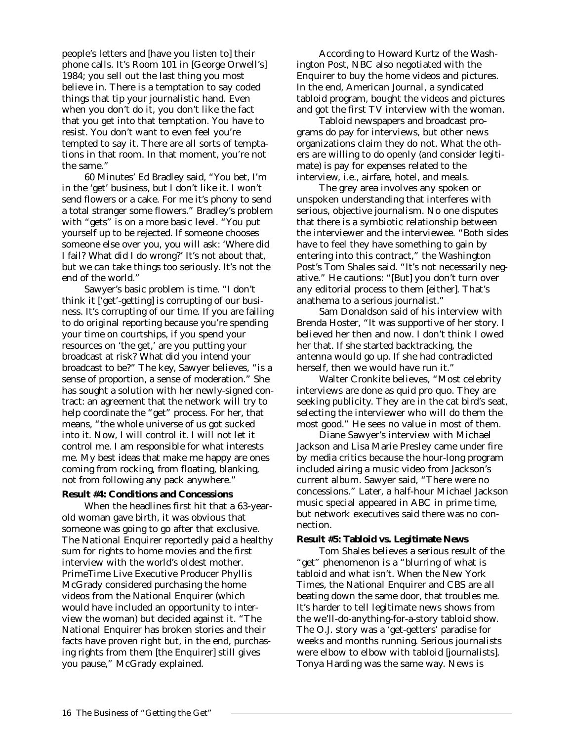people's letters and [have you listen to] their phone calls. It's Room 101 in [George Orwell's] *1984;* you sell out the last thing you most believe in. There is a temptation to say coded things that tip your journalistic hand. Even when you don't do it, you don't like the fact that you get into that temptation. You have to resist. You don't want to even feel you're tempted to say it. There are all sorts of temptations in that room. In that moment, you're not the same."

*60 Minutes*' Ed Bradley said, "You bet, I'm in the 'get' business, but I don't like it. I won't send flowers or a cake. For me it's phony to send a total stranger some flowers." Bradley's problem with "gets" is on a more basic level. "You put yourself up to be rejected. If someone chooses someone else over you, you will ask: 'Where did I fail? What did I do wrong?' It's not about that, but we *can* take things too seriously. It's not the end of the world."

Sawyer's basic problem is time. "I don't think it ['get'-getting] is corrupting of our business. It's corrupting of our time. If you are failing to do original reporting because you're spending your time on courtships, if you spend your resources on 'the get,' are you putting your broadcast at risk? What did you intend your broadcast to be?" The key, Sawyer believes, "is a sense of proportion, a sense of moderation." She has sought a solution with her newly-signed contract: an agreement that the network will try to help coordinate the "get" process. For her, that means, "the whole universe of us got sucked into it. Now, I will control it. I will not let it control me. I am responsible for what interests me. My best ideas that make me happy are ones coming from rocking, from floating, blanking, not from following any pack anywhere."

#### **Result #4: Conditions and Concessions**

When the headlines first hit that a 63-yearold woman gave birth, it was obvious that someone was going to go after that exclusive. The *National Enquirer* reportedly paid a healthy sum for rights to home movies and the first interview with the world's oldest mother. *PrimeTime Live* Executive Producer Phyllis McGrady considered purchasing the home videos from the *National Enquirer* (which would have included an opportunity to interview the woman) but decided against it. "The *National Enquirer* has broken stories and their facts have proven right but, in the end, purchasing rights from them [the *Enquirer*] still gives you pause," McGrady explained.

According to Howard Kurtz of the *Washington Post*, NBC also negotiated with the *Enquirer* to buy the home videos and pictures. In the end, *American Journal,* a syndicated tabloid program, bought the videos and pictures and got the first TV interview with the woman.

Tabloid newspapers and broadcast programs do pay for interviews, but other news organizations claim they do not. What the others *are* willing to do openly (and consider legitimate) is pay for expenses related to the interview, i.e., airfare, hotel, and meals.

The grey area involves any spoken or unspoken understanding that interferes with serious, objective journalism. No one disputes that there is a symbiotic relationship between the interviewer and the interviewee. "Both sides have to feel they have something to gain by entering into this contract," the *Washington Post's* Tom Shales said. "It's not necessarily negative." He cautions: "[But] you don't turn over any editorial process to them [either]. That's anathema to a serious journalist."

Sam Donaldson said of his interview with Brenda Hoster, "It was supportive of her story. I believed her then and now. I don't think I owed her that. If she started backtracking, the antenna would go up. If she had contradicted herself, then we would have run it."

Walter Cronkite believes, "Most celebrity interviews are done as quid pro quo. They are seeking publicity. They are in the cat bird's seat, selecting the interviewer who will do them the most good." He sees no value in most of them.

Diane Sawyer's interview with Michael Jackson and Lisa Marie Presley came under fire by media critics because the hour-long program included airing a music video from Jackson's current album. Sawyer said, "There were no concessions." Later, a half-hour Michael Jackson music special appeared in ABC in prime time, but network executives said there was no connection.

#### **Result #5: Tabloid vs. Legitimate News**

Tom Shales believes a serious result of the "get" phenomenon is a "blurring of what is tabloid and what isn't. When the *New York Times*, the *National Enquirer* and CBS are all beating down the same door, that troubles me. It's harder to tell legitimate news shows from the we'll-do-anything-for-a-story tabloid show. The O.J. story was a 'get-getters' paradise for weeks and months running. Serious journalists were elbow to elbow with tabloid [journalists]. Tonya Harding was the same way. News is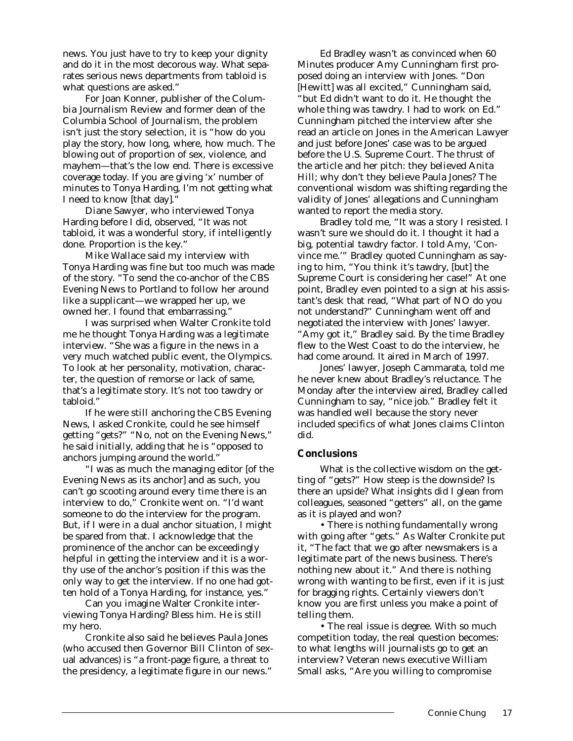news. You just have to try to keep your dignity and do it in the most decorous way. What separates serious news departments from tabloid is what questions are asked."

For Joan Konner, publisher of the *Columbia Journalism Review* and former dean of the Columbia School of Journalism, the problem isn't just the story selection, it is "how do you play the story, how long, where, how much. The blowing out of proportion of sex, violence, and mayhem—that's the low end. There is excessive coverage today. If you are giving 'x' number of minutes to Tonya Harding, I'm not getting what I need to know [that day]."

Diane Sawyer, who interviewed Tonya Harding before I did, observed, "It was not tabloid, it was a wonderful story, if intelligently done. Proportion is the key."

Mike Wallace said my interview with Tonya Harding was fine but too much was made of the story. "To send the co-anchor of the *CBS Evening News* to Portland to follow her around like a supplicant—we wrapped her up, we owned her. I found that embarrassing."

I was surprised when Walter Cronkite told me he thought Tonya Harding was a legitimate interview. "She was a figure in the news in a very much watched public event, the Olympics. To look at her personality, motivation, character, the question of remorse or lack of same, that's a legitimate story. It's not too tawdry or tabloid."

If he were still anchoring the *CBS Evening News,* I asked Cronkite, could he see himself getting "gets?" "No, not on the *Evening News*," he said initially, adding that he is "opposed to anchors jumping around the world."

"I was as much the managing editor [of the *Evening News* as its anchor] and as such, you can't go scooting around every time there is an interview to do," Cronkite went on. "I'd want someone to do the interview for the program. But, if I were in a dual anchor situation, I might be spared from that. I acknowledge that the prominence of the anchor can be exceedingly helpful in getting the interview and it is a worthy use of the anchor's position if this was the only way to get the interview. If no one had gotten hold of a Tonya Harding, for instance, yes."

Can you imagine Walter Cronkite interviewing Tonya Harding? Bless him. He is still my hero.

Cronkite also said he believes Paula Jones (who accused then Governor Bill Clinton of sexual advances) is "a front-page figure, a threat to the presidency, a legitimate figure in our news."

Ed Bradley wasn't as convinced when *60 Minutes* producer Amy Cunningham first proposed doing an interview with Jones. "Don [Hewitt] was all excited," Cunningham said, "but Ed didn't want to do it. He thought the whole thing was tawdry. I had to work on Ed." Cunningham pitched the interview after she read an article on Jones in the *American Lawyer* and just before Jones' case was to be argued before the U.S. Supreme Court. The thrust of the article and her pitch: they believed Anita Hill; why don't they believe Paula Jones? The conventional wisdom was shifting regarding the validity of Jones' allegations and Cunningham wanted to report the media story.

Bradley told me, "It was a story I resisted. I wasn't sure we should do it. I thought it had a big, potential tawdry factor. I told Amy, 'Convince me.'" Bradley quoted Cunningham as saying to him, "You think it's tawdry, [but] the Supreme Court is considering her case!" At one point, Bradley even pointed to a sign at his assistant's desk that read, "What part of NO do you not understand?" Cunningham went off and negotiated the interview with Jones' lawyer. "Amy got it," Bradley said. By the time Bradley flew to the West Coast to do the interview, he had come around. It aired in March of 1997.

Jones' lawyer, Joseph Cammarata, told me he never knew about Bradley's reluctance. The Monday after the interview aired, Bradley called Cunningham to say, "nice job." Bradley felt it was handled well because the story never included specifics of what Jones claims Clinton did.

### *Conclusions*

What is the collective wisdom on the getting of "gets?" How steep is the downside? Is there an upside? What insights did I glean from colleagues, seasoned "getters" all, on the game as it is played and won?

• *There is nothing fundamentally wrong with going after "gets."* As Walter Cronkite put it, "The fact that we go after newsmakers is a legitimate part of the news business. There's nothing new about it." And there is nothing wrong with wanting to be first, even if it is just for bragging rights. Certainly viewers don't know you are first unless you make a point of telling them.

• *The real issue is degree.* With so much competition today, the real question becomes: to what lengths will journalists go to get an interview? Veteran news executive William Small asks, "Are you willing to compromise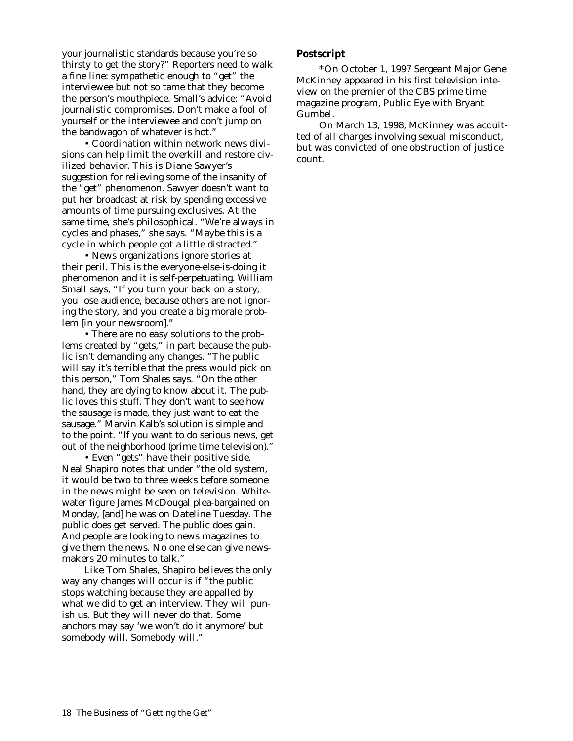your journalistic standards because you're so thirsty to get the story?" Reporters need to walk a fine line: sympathetic enough to "get" the interviewee but not so tame that they become the person's mouthpiece. Small's advice: "Avoid journalistic compromises. Don't make a fool of yourself or the interviewee and don't jump on the bandwagon of whatever is hot."

• *Coordination within network news divisions can help limit the overkill and restore civilized behavior.* This is Diane Sawyer's suggestion for relieving some of the insanity of the "get" phenomenon. Sawyer doesn't want to put her broadcast at risk by spending excessive amounts of time pursuing exclusives. At the same time, she's philosophical. "We're always in cycles and phases," she says. "Maybe this is a cycle in which people got a little distracted."

• *News organizations ignore stories at their peril*. This is the everyone-else-is-doing it phenomenon and it is self-perpetuating. William Small says, "If you turn your back on a story, you lose audience, because others are not ignoring the story, and you create a big morale problem [in your newsroom]."

• *There are no easy solutions to the problems created by "gets," in part because the public isn't demanding any changes.* "The public will say it's terrible that the press would pick on this person," Tom Shales says. "On the other hand, they are dying to know about it. The public loves this stuff. They don't want to see how the sausage is made, they just want to eat the sausage." Marvin Kalb's solution is simple and to the point. "If you want to do serious news, get out of the neighborhood (prime time television)."

• *Even "gets" have their positive side.* Neal Shapiro notes that under "the old system, it would be two to three weeks before someone in the news might be seen on television. Whitewater figure James McDougal plea-bargained on Monday, [and] he was on *Dateline* Tuesday. The public does get served. The public does gain. And people are looking to news magazines to give them the news. No one else can give newsmakers 20 minutes to talk."

Like Tom Shales, Shapiro believes the only way any changes will occur is if "the public stops watching because they are appalled by what we did to get an interview. They will punish us. But they will never do that. Some anchors may say 'we won't do it anymore' but somebody will. Somebody will."

## *Postscript*

*\*On October 1, 1997 Sergeant Major Gene McKinney appeared in his first television inteview on the premier of the CBS prime time magazine program,* Public Eye with Bryant Gumbel*.*

*On March 13, 1998, McKinney was acquitted of all charges involving sexual misconduct, but was convicted of one obstruction of justice count.*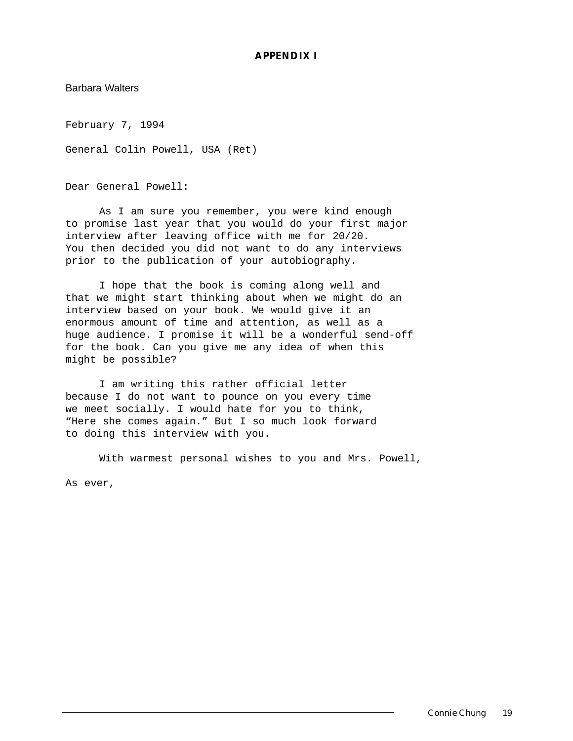# *APPENDIX I*

Barbara Walters

February 7, 1994

General Colin Powell, USA (Ret)

Dear General Powell:

As I am sure you remember, you were kind enough to promise last year that you would do your first major interview after leaving office with me for 20/20. You then decided you did not want to do any interviews prior to the publication of your autobiography.

I hope that the book is coming along well and that we might start thinking about when we might do an interview based on your book. We would give it an enormous amount of time and attention, as well as a huge audience. I promise it will be a wonderful send-off for the book. Can you give me any idea of when this might be possible?

I am writing this rather official letter because I do not want to pounce on you every time we meet socially. I would hate for you to think, "Here she comes again." But I so much look forward to doing this interview with you.

With warmest personal wishes to you and Mrs. Powell, As ever,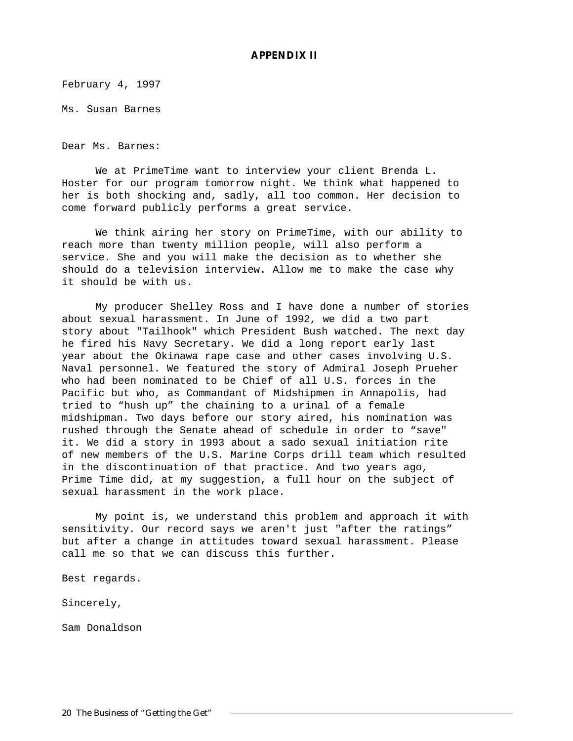# *APPENDIX II*

February 4, 1997

Ms. Susan Barnes

Dear Ms. Barnes:

We at PrimeTime want to interview your client Brenda L. Hoster for our program tomorrow night. We think what happened to her is both shocking and, sadly, all too common. Her decision to come forward publicly performs a great service.

We think airing her story on PrimeTime, with our ability to reach more than twenty million people, will also perform a service. She and you will make the decision as to whether she should do a television interview. Allow me to make the case why it should be with us.

My producer Shelley Ross and I have done a number of stories about sexual harassment. In June of 1992, we did a two part story about "Tailhook" which President Bush watched. The next day he fired his Navy Secretary. We did a long report early last year about the Okinawa rape case and other cases involving U.S. Naval personnel. We featured the story of Admiral Joseph Prueher who had been nominated to be Chief of all U.S. forces in the Pacific but who, as Commandant of Midshipmen in Annapolis, had tried to "hush up" the chaining to a urinal of a female midshipman. Two days before our story aired, his nomination was rushed through the Senate ahead of schedule in order to "save" it. We did a story in 1993 about a sado sexual initiation rite of new members of the U.S. Marine Corps drill team which resulted in the discontinuation of that practice. And two years ago, Prime Time did, at my suggestion, a full hour on the subject of sexual harassment in the work place.

My point is, we understand this problem and approach it with sensitivity. Our record says we aren't just "after the ratings" but after a change in attitudes toward sexual harassment. Please call me so that we can discuss this further.

Best regards.

Sincerely,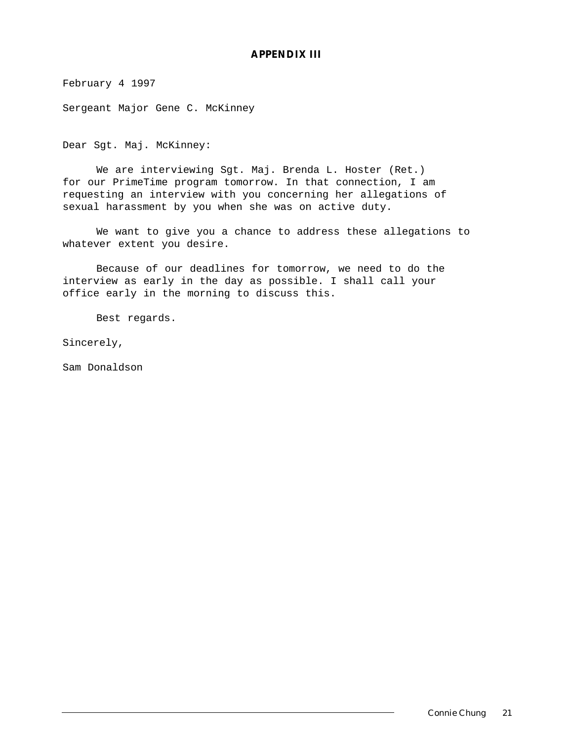# *APPENDIX III*

February 4 1997

Sergeant Major Gene C. McKinney

Dear Sgt. Maj. McKinney:

We are interviewing Sgt. Maj. Brenda L. Hoster (Ret.) for our PrimeTime program tomorrow. In that connection, I am requesting an interview with you concerning her allegations of sexual harassment by you when she was on active duty.

We want to give you a chance to address these allegations to whatever extent you desire.

Because of our deadlines for tomorrow, we need to do the interview as early in the day as possible. I shall call your office early in the morning to discuss this.

Best regards.

Sincerely,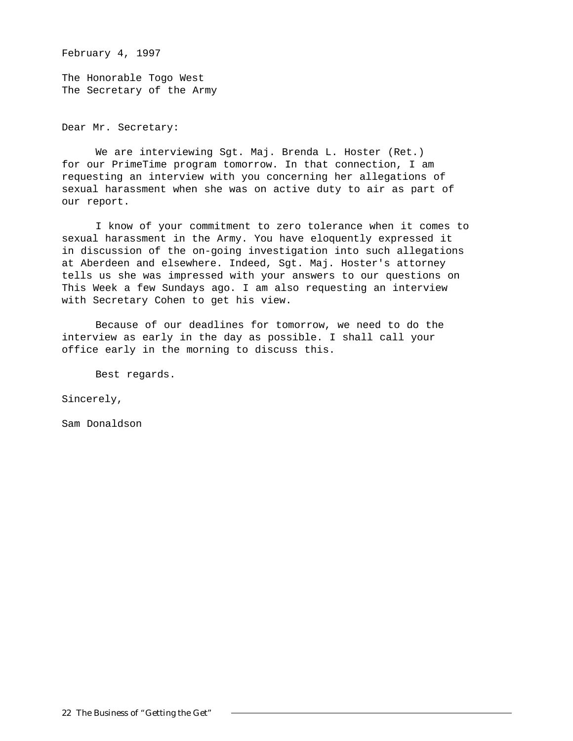February 4, 1997

The Honorable Togo West The Secretary of the Army

Dear Mr. Secretary:

We are interviewing Sgt. Maj. Brenda L. Hoster (Ret.) for our PrimeTime program tomorrow. In that connection, I am requesting an interview with you concerning her allegations of sexual harassment when she was on active duty to air as part of our report.

I know of your commitment to zero tolerance when it comes to sexual harassment in the Army. You have eloquently expressed it in discussion of the on-going investigation into such allegations at Aberdeen and elsewhere. Indeed, Sgt. Maj. Hoster's attorney tells us she was impressed with your answers to our questions on This Week a few Sundays ago. I am also requesting an interview with Secretary Cohen to get his view.

Because of our deadlines for tomorrow, we need to do the interview as early in the day as possible. I shall call your office early in the morning to discuss this.

Best regards.

Sincerely,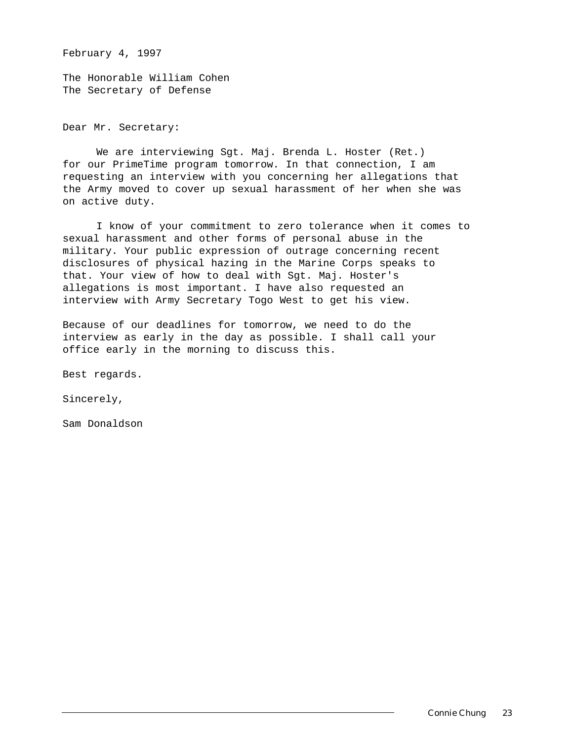February 4, 1997

The Honorable William Cohen The Secretary of Defense

Dear Mr. Secretary:

We are interviewing Sgt. Maj. Brenda L. Hoster (Ret.) for our PrimeTime program tomorrow. In that connection, I am requesting an interview with you concerning her allegations that the Army moved to cover up sexual harassment of her when she was on active duty.

I know of your commitment to zero tolerance when it comes to sexual harassment and other forms of personal abuse in the military. Your public expression of outrage concerning recent disclosures of physical hazing in the Marine Corps speaks to that. Your view of how to deal with Sgt. Maj. Hoster's allegations is most important. I have also requested an interview with Army Secretary Togo West to get his view.

Because of our deadlines for tomorrow, we need to do the interview as early in the day as possible. I shall call your office early in the morning to discuss this.

Best regards.

Sincerely,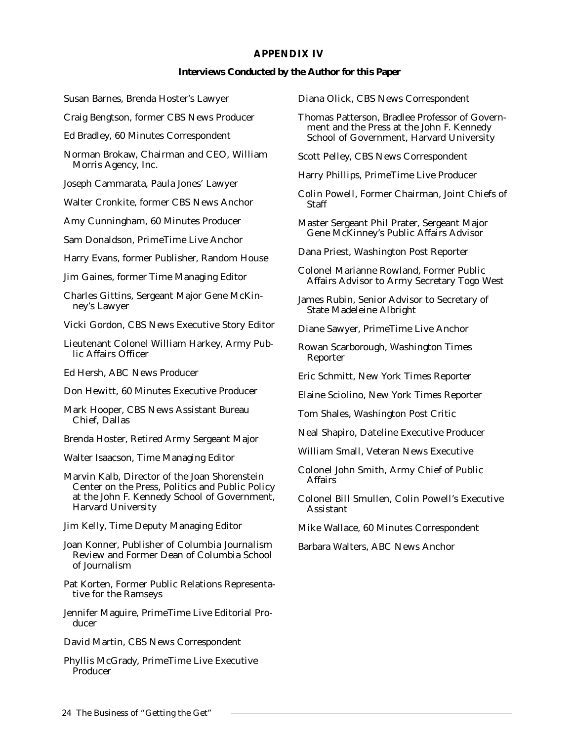# *APPENDIX IV*

## **Interviews Conducted by the Author for this Paper**

Susan Barnes, Brenda Hoster's Lawyer

Craig Bengtson, former CBS News Producer

Ed Bradley, *60 Minutes* Correspondent

Norman Brokaw, Chairman and CEO, William Morris Agency, Inc.

Joseph Cammarata, Paula Jones' Lawyer

Walter Cronkite, former CBS News Anchor

Amy Cunningham, *60 Minutes* Producer

Sam Donaldson, *PrimeTime Live* Anchor

Harry Evans, former Publisher, Random House

Jim Gaines, former *Time* Managing Editor

Charles Gittins, Sergeant Major Gene McKinney's Lawyer

Vicki Gordon, CBS News Executive Story Editor

Lieutenant Colonel William Harkey, Army Public Affairs Officer

Ed Hersh, ABC News Producer

Don Hewitt, *60 Minutes* Executive Producer

Mark Hooper, CBS News Assistant Bureau Chief, Dallas

Brenda Hoster, Retired Army Sergeant Major

Walter Isaacson, *Time* Managing Editor

Marvin Kalb, Director of the Joan Shorenstein Center on the Press, Politics and Public Policy at the John F. Kennedy School of Government, Harvard University

Jim Kelly, *Time* Deputy Managing Editor

Joan Konner, Publisher of *Columbia Journalism Review* and Former Dean of Columbia School of Journalism

Pat Korten, Former Public Relations Representative for the Ramseys

Jennifer Maguire, *PrimeTime Live* Editorial Producer

David Martin, CBS News Correspondent

Phyllis McGrady, *PrimeTime Live* Executive Producer

Diana Olick, CBS News Correspondent

Thomas Patterson, Bradlee Professor of Government and the Press at the John F. Kennedy School of Government, Harvard University

Scott Pelley, CBS News Correspondent

Harry Phillips, PrimeTime Live Producer

Colin Powell, Former Chairman, Joint Chiefs of Staff

Master Sergeant Phil Prater, Sergeant Major Gene McKinney's Public Affairs Advisor

Dana Priest, *Washington Post* Reporter

Colonel Marianne Rowland, Former Public Affairs Advisor to Army Secretary Togo West

James Rubin, Senior Advisor to Secretary of State Madeleine Albright

Diane Sawyer, *PrimeTime Live* Anchor

Rowan Scarborough, *Washington Times* Reporter

Eric Schmitt, *New York Times* Reporter

Elaine Sciolino, *New York Times* Reporter

Tom Shales, *Washington Post* Critic

Neal Shapiro, *Dateline* Executive Producer

William Small, Veteran News Executive

Colonel John Smith, Army Chief of Public Affairs

Colonel Bill Smullen, Colin Powell's Executive Assistant

Mike Wallace, *60 Minutes* Correspondent

Barbara Walters, ABC News Anchor